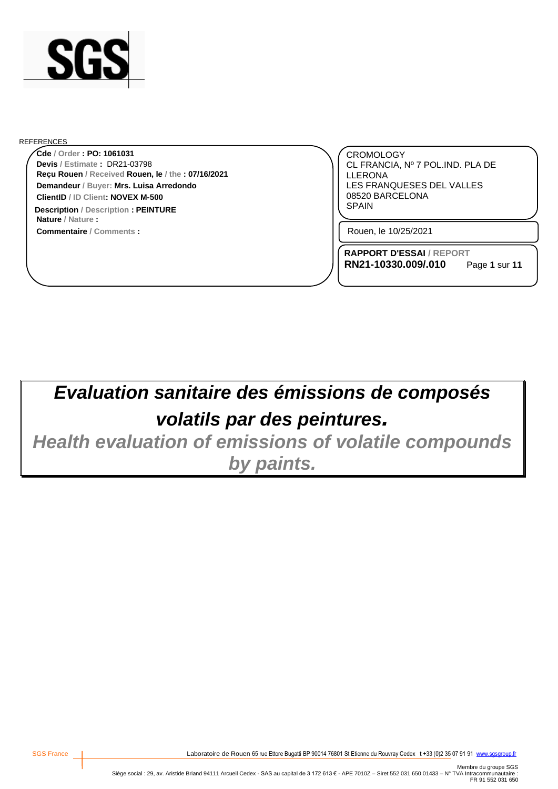

#### REFERENCES

**Reçu Rouen / Received Rouen, le / the : 07/16/2021 Cde / Order : PO: 1061031 Demandeur / Buyer: Mrs. Luisa Arredondo ClientID / ID Client: NOVEX M-500 Devis / Estimate :** DR21-03798

**Commentaire / Comments : Nature / Nature : Description** / Description **: PEINTURE EXECUTE: EXECUTE: EXECUTE: EXECUTE: EXECUTE: EXECUTE: EXECUTE: EXECUTE: EXECUTE: EXECUTE: EXECUTE: EXECUTE: EXECUTE: EXECUTE: EXECUTE: EXECUTE: EXEC** 

CROMOLOGY CL FRANCIA, Nº 7 POL.IND. PLA DE LLERONA LES FRANQUESES DEL VALLES 08520 BARCELONA

Rouen, le 10/25/2021

**RAPPORT D'ESSAI / REPORT RN21-10330.009/.010**

Page **1** sur **11**

# *Evaluation sanitaire des émissions de composés volatils par des peintures.*

*Health evaluation of emissions of volatile compounds by paints.*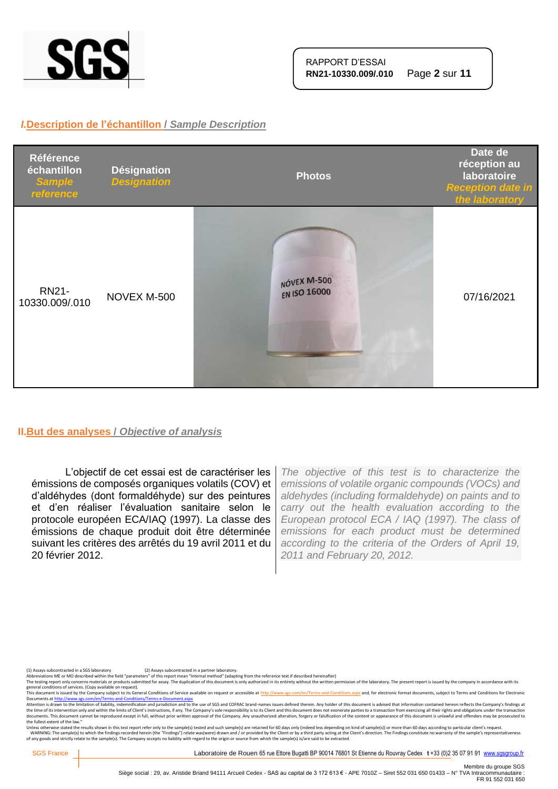

#### *I.***Description de l'échantillon /** *Sample Description*



#### **II.But des analyses /** *Objective of analysis*

L'objectif de cet essai est de caractériser les émissions de composés organiques volatils (COV) et d'aldéhydes (dont formaldéhyde) sur des peintures et d'en réaliser l'évaluation sanitaire selon le protocole européen ECA/IAQ (1997). La classe des émissions de chaque produit doit être déterminée suivant les critères des arrêtés du 19 avril 2011 et du 20 février 2012.

*The objective of this test is to characterize the emissions of volatile organic compounds (VOCs) and aldehydes (including formaldehyde) on paints and to carry out the health evaluation according to the European protocol ECA / IAQ (1997). The class of emissions for each product must be determined according to the criteria of the Orders of April 19, 2011 and February 20, 2012.*

(1) Assays subcontracted in a SGS laboratory (2) Assays subcontracted in a partner laboratory.<br>Abbreviations ME or MO described within the field "parameters" of this report mean "Internal method" (adapting from the referen

The testing report only concerns materials or products submitted for assay. The duplication of this document is only authorized in its entirety without the written permission of the laboratory. The present report is issued

general conditions of services. (Copy available on request).<br>This documents a fister of the Company subject to the Company subject to the Gompany subject to the School of<br>Documents at <u>http://www.ses.com/en/Terms-and-Condi</u> the fullest extent of the law."

Unless otherwise stated the results shown in this test report refer only to the sample(s) tested and such sample(s) are retained for 60 days only (indeed less depending on kind of sample(s)) or more than 60 days according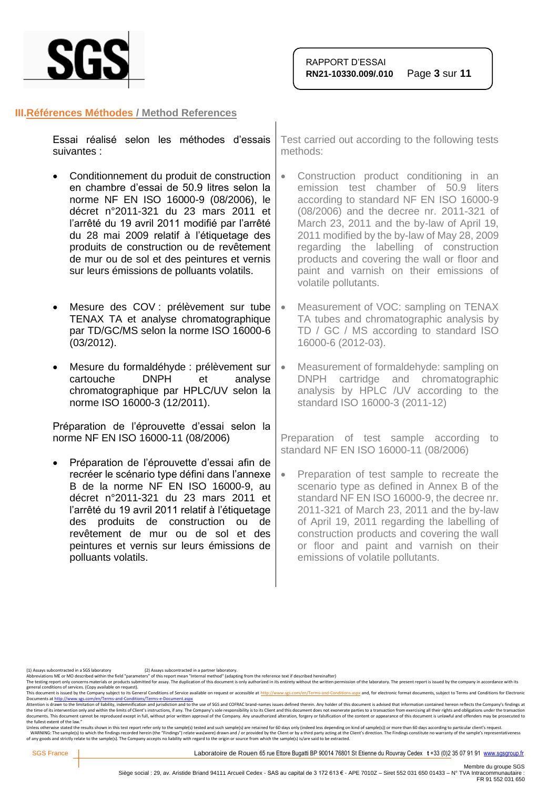

#### **III.Références Méthodes / Method References**

|             |  | Essai réalisé selon les méthodes d'essais   Test carried out according |
|-------------|--|------------------------------------------------------------------------|
| suivantes : |  | methods:                                                               |
|             |  |                                                                        |

- Conditionnement du produit de construction en chambre d'essai de 50.9 litres selon la norme NF EN ISO 16000-9 (08/2006), le décret n°2011-321 du 23 mars 2011 et l'arrêté du 19 avril 2011 modifié par l'arrêté du 28 mai 2009 relatif à l'étiquetage des produits de construction ou de revêtement de mur ou de sol et des peintures et vernis sur leurs émissions de polluants volatils.
- Mesure des COV : prélèvement sur tube TENAX TA et analyse chromatographique par TD/GC/MS selon la norme ISO 16000-6 (03/2012).
- Mesure du formaldéhyde : prélèvement sur cartouche DNPH et analyse chromatographique par HPLC/UV selon la norme ISO 16000-3 (12/2011).

Préparation de l'éprouvette d'essai selon la norme NF EN ISO 16000-11 (08/2006)

• Préparation de l'éprouvette d'essai afin de recréer le scénario type défini dans l'annexe B de la norme NF EN ISO 16000-9, au décret n°2011-321 du 23 mars 2011 et l'arrêté du 19 avril 2011 relatif à l'étiquetage des produits de construction ou de revêtement de mur ou de sol et des peintures et vernis sur leurs émissions de polluants volatils.

to the following tests

- Construction product conditioning in an emission test chamber of 50.9 liters according to standard NF EN ISO 16000-9 (08/2006) and the decree nr. 2011-321 of March 23, 2011 and the by-law of April 19, 2011 modified by the by-law of May 28, 2009 regarding the labelling of construction products and covering the wall or floor and paint and varnish on their emissions of volatile pollutants.
- Measurement of VOC: sampling on TENAX TA tubes and chromatographic analysis by TD / GC / MS according to standard ISO 16000-6 (2012-03).
- Measurement of formaldehyde: sampling on DNPH cartridge and chromatographic analysis by HPLC /UV according to the standard ISO 16000-3 (2011-12)

Preparation of test sample according to standard NF EN ISO 16000-11 (08/2006)

• Preparation of test sample to recreate the scenario type as defined in Annex B of the standard NF EN ISO 16000-9, the decree nr. 2011-321 of March 23, 2011 and the by-law of April 19, 2011 regarding the labelling of construction products and covering the wall or floor and paint and varnish on their emissions of volatile pollutants.

(1) Assays subcontracted in a SGS laboratory (2) Assays subcontracted in a partner laboratory.<br>Abbreviations ME or MO described within the field "parameters" of this report mean "Internal method" (adapting from the referen

The testing report only concerns materials or products submitted for assay. The duplication of this document is only authorized in its entirety without the written permission of the laboratory. The present report is issued

general conditions of services. (Copy available on request).<br>This document is issued by the Company subject to its General Conditions of Service available on request or accessible at <u>http://www.sgs.com/en/Terms-and-Condit</u>

Attention is drawn to the limitation of liability, indemnification and jurisdiction and to the use of SGS and COFRAC brand-names issues defined therein. Any holder of this document is advised that information contained her the fullest extent of the law."

Unless otherwise stated the results shown in this test report refer only to the sample(s) tested and such sample(s) are retained for 60 days only (indeed less depending on kind of sample(s)) or more than 60 days according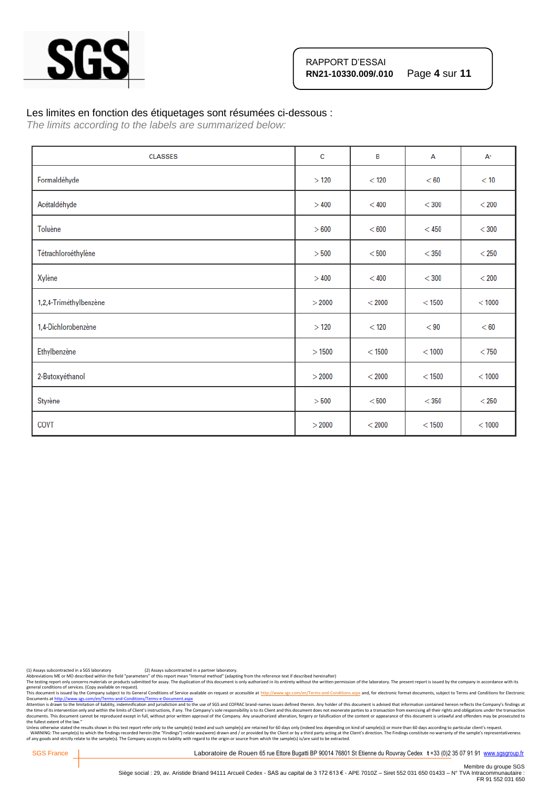

#### Les limites en fonction des étiquetages sont résumées ci-dessous :

*The limits according to the labels are summarized below:*

| <b>CLASSES</b>         | c      | B      | A        | $A^+$   |
|------------------------|--------|--------|----------|---------|
| Formaldéhyde           | >120   | < 120  | < 60     | < 10    |
| Acétaldéhyde           | >400   | < 400  | $<$ 300  | $<$ 200 |
| Toluène                | > 600  | < 600  | $<$ 450  | $<$ 300 |
| Tétrachloroéthylène    | >500   | < 500  | $<$ 350  | $<$ 250 |
| Xylène                 | >400   | < 400  | $<$ 300  | $<$ 200 |
| 1,2,4-Triméthylbenzène | > 2000 | < 2000 | $<$ 1500 | < 1000  |
| 1,4-Dichlorobenzène    | >120   | < 120  | < 90     | < 60    |
| Ethylbenzène           | >1500  | < 1500 | < 1000   | $<$ 750 |
| 2-Butoxyéthanol        | > 2000 | < 2000 | < 1500   | < 1000  |
| Styrène                | > 500  | < 500  | $<$ 350  | $<$ 250 |
| COVT                   | > 2000 | < 2000 | $<$ 1500 | < 1000  |

(1) Assays subcontracted in a SGS laboratory (2) Assays subcontracted in a partner laboratory.<br>Abbreviations ME or MO described within the field "parameters" of this report mean "Internal method" (adapting from the referen

Abbreviations ME or MO described within the neid "parameters" or this report intent intention of this document is only outhorized in its entirety without the written permission of the laboratory. The present report is issu

general conditions of services. (Copy available on request).<br>This documents a fister of the Company subject to the Company subject to the Gompany subject to the School of<br>Documents at <u>http://www.ses.com/en/Terms-and-Condi</u> the fullest extent of the law."

Unless otherwise stated the results shown in this test report refer only to the sample(s) tested and such sample(s) are retained for 60 days only (indeed less depending on kind of sample(s)) or more than 60 days according

SGS France | Laboratoire de Rouen 65 rue Ettore Bugatti BP 90014 76801 St Etienne du Rouvray Cedex t +33 (0)2 35 07 91 91 [www.sgsgroup.fr](http://www.sgsgroup.fr/)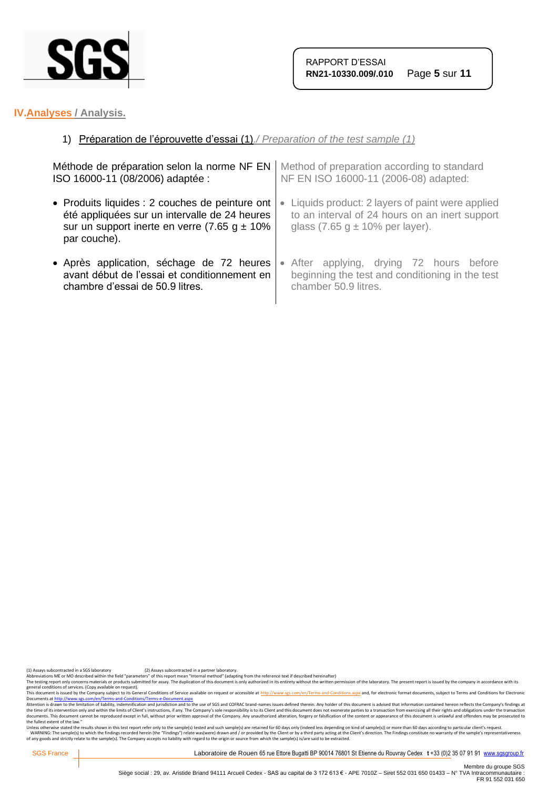

## **IV.Analyses / Analysis.**

## 1) Préparation de l'éprouvette d'essai (1)*./ Preparation of the test sample (1)*

| Méthode de préparation selon la norme NF EN      | Method of preparation according to standard     |  |
|--------------------------------------------------|-------------------------------------------------|--|
| ISO 16000-11 (08/2006) adaptée :                 | NF EN ISO 16000-11 (2006-08) adapted:           |  |
| • Produits liquides : 2 couches de peinture ont  | Liquids product: 2 layers of paint were applied |  |
| été appliquées sur un intervalle de 24 heures    | $\bullet$                                       |  |
| sur un support inerte en verre (7.65 g $\pm$ 10% | to an interval of 24 hours on an inert support  |  |
| par couche).                                     | glass $(7.65 g \pm 10\%$ per layer).            |  |
| • Après application, séchage de 72 heures        | • After applying, drying 72 hours before        |  |
| avant début de l'essai et conditionnement en     | beginning the test and conditioning in the test |  |
| chambre d'essai de 50.9 litres.                  | chamber 50.9 litres.                            |  |

(1) Assays subcontracted in a SGS laboratory (2) Assays subcontracted in a partner laboratory.<br>Abbreviations ME or MO described within the field "parameters" of this report mean "Internal method" (adapting from the referen

Abbrevations ML or MU described with the held "parameters" of this report mean "internal methor" ledapting from the reference text if elescibed meremalter) without the written permistion of the laboratory. The present repo

general conditions of services. (Copy available on request).<br>This documents a fister of the Company subject to the Company subject to the Gompany subject to the School of<br>Documents at <u>http://www.ses.com/en/Terms-and-Condi</u> the fullest extent of the law."

Unless otherwise stated the results shown in this test report refer only to the sample(s) tested and such sample(s) are retained for 60 days only (indeed less depending on kind of sample(s)) or more than 60 days according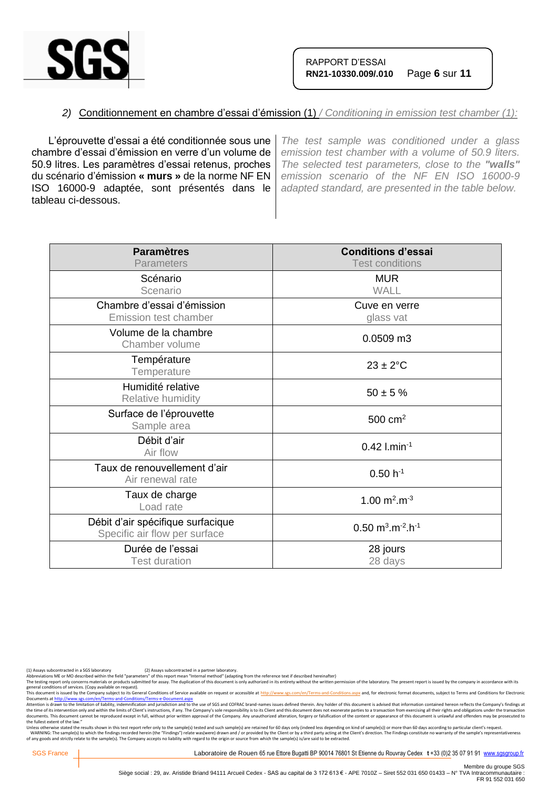

## *2)* Conditionnement en chambre d'essai d'émission (1) */ Conditioning in emission test chamber (1):*

L'éprouvette d'essai a été conditionnée sous une chambre d'essai d'émission en verre d'un volume de 50.9 litres. Les paramètres d'essai retenus, proches du scénario d'émission **« murs »** de la norme NF EN ISO 16000-9 adaptée, sont présentés dans le tableau ci-dessous.

*The test sample was conditioned under a glass emission test chamber with a volume of 50.9 liters. The selected test parameters, close to the "walls" emission scenario of the NF EN ISO 16000-9 adapted standard, are presented in the table below.*

| <b>Paramètres</b><br><b>Parameters</b>                             | <b>Conditions d'essai</b><br><b>Test conditions</b>        |
|--------------------------------------------------------------------|------------------------------------------------------------|
| Scénario<br>Scenario                                               | <b>MUR</b><br>WALL                                         |
| Chambre d'essai d'émission<br>Emission test chamber                | Cuve en verre<br>glass vat                                 |
| Volume de la chambre<br>Chamber volume                             | 0.0509 m3                                                  |
| Température<br>Temperature                                         | $23 \pm 2$ °C                                              |
| Humidité relative<br>Relative humidity                             | $50 \pm 5 \%$                                              |
| Surface de l'éprouvette<br>Sample area                             | $500 \text{ cm}^2$                                         |
| Débit d'air<br>Air flow                                            | $0.42$ l.min <sup>-1</sup>                                 |
| Taux de renouvellement d'air<br>Air renewal rate                   | $0.50 h^{-1}$                                              |
| Taux de charge<br>Load rate                                        | 1.00 $m^2.m^{-3}$                                          |
| Débit d'air spécifique surfacique<br>Specific air flow per surface | $0.50 \text{ m}^3 \cdot \text{m}^{-2} \cdot \text{h}^{-1}$ |
| Durée de l'essai<br><b>Test duration</b>                           | 28 jours<br>28 days                                        |

(1) Assays subcontracted in a SGS laboratory (2) Assays subcontracted in a partner laboratory.<br>Abbreviations ME or MO described within the field "parameters" of this report mean "Internal method" (adapting from the referen

The testing report only concerns materials or products submitted for assay. The duplication of this document is only authorized in its entirety without the written permission of the laboratory. The present report is issued

general conditions of services. (Copy available on request).<br>This documents a fister of the Company subject to the Company subject to the Gompany subject to the School of<br>Documents at <u>http://www.ses.com/en/Terms-and-Condi</u> the fullest extent of the law."

Unless otherwise stated the results shown in this test report refer only to the sample(s) tested and such sample(s) are retained for 60 days only (indeed less depending on kind of sample(s)) or more than 60 days according

SGS France | Laboratoire de Rouen 65 rue Ettore Bugatti BP 90014 76801 St Etienne du Rouvray Cedex t +33 (0)2 35 07 91 91 [www.sgsgroup.fr](http://www.sgsgroup.fr/)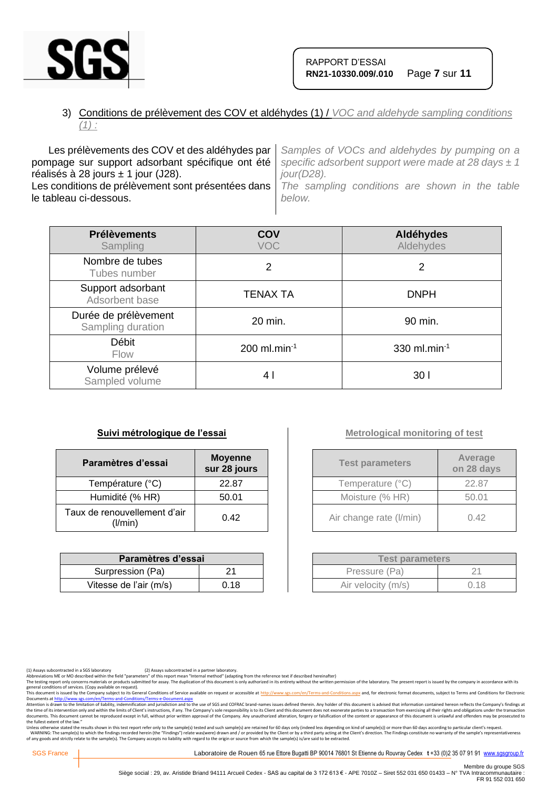

## 3) Conditions de prélèvement des COV et aldéhydes (1) / *VOC and aldehyde sampling conditions (1) :*

Les prélèvements des COV et des aldéhydes par pompage sur support adsorbant spécifique ont été réalisés à 28 jours  $\pm$  1 jour (J28). Les conditions de prélèvement sont présentées dans le tableau ci-dessous. *Samples of VOCs and aldehydes by pumping on a specific adsorbent support were made at 28 days ± 1 jour(D28). The sampling conditions are shown in the table below.*

| <b>Prélèvements</b><br>Sampling           | COV<br><b>VOC</b>          | Aldéhydes<br>Aldehydes |
|-------------------------------------------|----------------------------|------------------------|
| Nombre de tubes<br>Tubes number           | 2                          | 2                      |
| Support adsorbant<br>Adsorbent base       | <b>TENAX TA</b>            | <b>DNPH</b>            |
| Durée de prélèvement<br>Sampling duration | 20 min.                    | 90 min.                |
| Débit<br><b>Flow</b>                      | $200$ ml.min <sup>-1</sup> | 330 ml.min $^{-1}$     |
| Volume prélevé<br>Sampled volume          | 4 I                        | 30 I                   |

#### **Suivi métrologique de l'essai**

| Paramètres d'essai                      | <b>Moyenne</b><br>sur 28 jours |
|-----------------------------------------|--------------------------------|
| Température (°C)                        | 22.87                          |
| Humidité (% HR)                         | 50.01                          |
| Taux de renouvellement d'air<br>(I/min) | 0.42                           |

| Paramètres d'essai     |      |  |
|------------------------|------|--|
| Surpression (Pa)       | 21   |  |
| Vitesse de l'air (m/s) | 0.18 |  |

## **Metrological monitoring of test**

| <b>Test parameters</b>  | Average<br>on 28 days |
|-------------------------|-----------------------|
| Temperature (°C)        | 22.87                 |
| Moisture (% HR)         | 50.01                 |
| Air change rate (I/min) | 0.42                  |

| <b>Test parameters</b> |      |  |
|------------------------|------|--|
| Pressure (Pa)          | 21   |  |
| Air velocity (m/s)     | 0.18 |  |

The testing report only concerns materials or products submitted for assay. The duplication of this document is only authorized in its entirety without the written permission of the laboratory. The present report is issued

general conditions of services. (Copy available on request).<br>This documents a fister of the Company subject to the Company subject to the Gompany subject to the School of<br>Documents at <u>http://www.ses.com/en/Terms-and-Condi</u> the fullest extent of the law."

Unless otherwise stated the results shown in this test report refer only to the sample(s) tested and such sample(s) are retained for 60 days only (indeed less depending on kind of sample(s)) or more than 60 days according

SGS France | Laboratoire de Rouen 65 rue Ettore Bugatti BP 90014 76801 St Etienne du Rouvray Cedex t +33 (0)2 35 07 91 91 [www.sgsgroup.fr](http://www.sgsgroup.fr/)

<sup>(1)</sup> Assays subcontracted in a SGS laboratory (2) Assays subcontracted in a partner laboratory.<br>Abbreviations ME or MO described within the field "parameters" of this report mean "Internal method" (adapting from the referen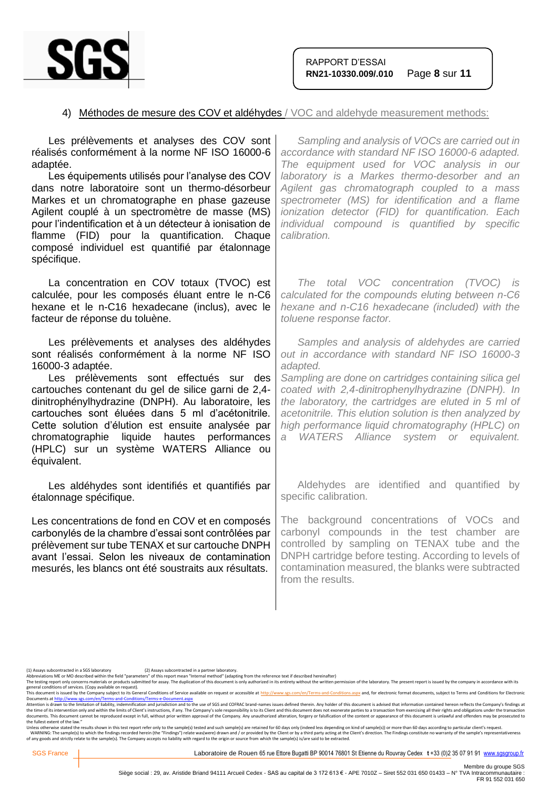

#### 4) Méthodes de mesure des COV et aldéhydes / VOC and aldehyde measurement methods:

| Les prélèvements et analyses des COV sont<br>réalisés conformément à la norme NF ISO 16000-6<br>adaptée.<br>Les équipements utilisés pour l'analyse des COV<br>dans notre laboratoire sont un thermo-désorbeur<br>Markes et un chromatographe en phase gazeuse<br>Agilent couplé à un spectromètre de masse (MS)<br>pour l'indentification et à un détecteur à ionisation de<br>flamme (FID) pour la quantification. Chaque<br>composé individuel est quantifié par étalonnage<br>spécifique. | Sampling and analysis of VOCs are carried out in<br>accordance with standard NF ISO 16000-6 adapted.<br>The equipment used for VOC analysis in our<br>laboratory is a Markes thermo-desorber and an<br>Agilent gas chromatograph coupled to a mass<br>spectrometer (MS) for identification and a flame<br>ionization detector (FID) for quantification. Each<br>individual compound is quantified by specific<br>calibration.                    |
|-----------------------------------------------------------------------------------------------------------------------------------------------------------------------------------------------------------------------------------------------------------------------------------------------------------------------------------------------------------------------------------------------------------------------------------------------------------------------------------------------|--------------------------------------------------------------------------------------------------------------------------------------------------------------------------------------------------------------------------------------------------------------------------------------------------------------------------------------------------------------------------------------------------------------------------------------------------|
| La concentration en COV totaux (TVOC) est<br>calculée, pour les composés éluant entre le n-C6<br>hexane et le n-C16 hexadecane (inclus), avec le<br>facteur de réponse du toluène.                                                                                                                                                                                                                                                                                                            | The total VOC concentration (TVOC) is<br>calculated for the compounds eluting between n-C6<br>hexane and n-C16 hexadecane (included) with the<br>toluene response factor.                                                                                                                                                                                                                                                                        |
| Les prélèvements et analyses des aldéhydes<br>sont réalisés conformément à la norme NF ISO<br>16000-3 adaptée.<br>Les prélèvements sont effectués sur des<br>cartouches contenant du gel de silice garni de 2,4-<br>dinitrophénylhydrazine (DNPH). Au laboratoire, les<br>cartouches sont éluées dans 5 ml d'acétonitrile.<br>Cette solution d'élution est ensuite analysée par<br>chromatographie liquide hautes performances<br>(HPLC) sur un système WATERS Alliance ou<br>équivalent.     | Samples and analysis of aldehydes are carried<br>out in accordance with standard NF ISO 16000-3<br>adapted.<br>Sampling are done on cartridges containing silica gel<br>coated with 2,4-dinitrophenylhydrazine (DNPH). In<br>the laboratory, the cartridges are eluted in 5 ml of<br>acetonitrile. This elution solution is then analyzed by<br>high performance liquid chromatography (HPLC) on<br>WATERS Alliance system or equivalent.<br>a - |
| Les aldéhydes sont identifiés et quantifiés par<br>étalonnage spécifique.                                                                                                                                                                                                                                                                                                                                                                                                                     | Aldehydes are identified and quantified by<br>specific calibration.                                                                                                                                                                                                                                                                                                                                                                              |
| Les concentrations de fond en COV et en composés<br>carbonylés de la chambre d'essai sont contrôlées par<br>prélèvement sur tube TENAX et sur cartouche DNPH<br>avant l'essai. Selon les niveaux de contamination<br>mesurés, les blancs ont été soustraits aux résultats.                                                                                                                                                                                                                    | The background concentrations of VOCs and<br>carbonyl compounds in the test chamber are<br>controlled by sampling on TENAX tube and the<br>DNPH cartridge before testing. According to levels of<br>contamination measured, the blanks were subtracted<br>from the results.                                                                                                                                                                      |
|                                                                                                                                                                                                                                                                                                                                                                                                                                                                                               |                                                                                                                                                                                                                                                                                                                                                                                                                                                  |

general conditions of services. (Copy available on request).<br>This documents a fister of the Company subject to the Company subject to the Gompany subject to the School of<br>Documents at <u>http://www.ses.com/en/Terms-and-Condi</u> the fullest extent of the law."

Unless otherwise stated the results shown in this test report refer only to the sample(s) tested and such sample(s) are retained for 60 days only (indeed less depending on kind of sample(s)) or more than 60 days according

<sup>(1)</sup> Assays subcontracted in a SGS laboratory (2) Assays subcontracted in a partner laboratory.<br>Abbreviations ME or MO described within the field "parameters" of this report mean "Internal method" (adapting from the referen

Abbrevations ML or MU described with the held "parameters" of this report mean "internal methor" ledapting from the reference text if elescibed meremalter) without the written permistion of the laboratory. The present repo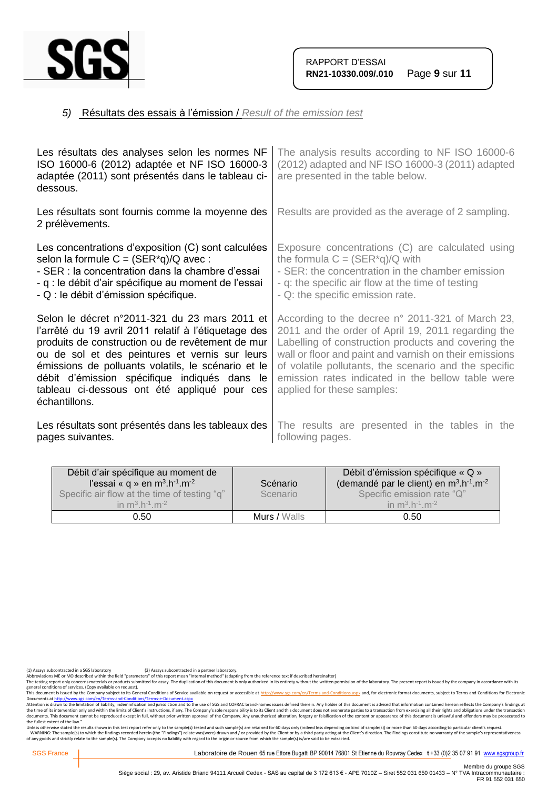

## *5)* Résultats des essais à l'émission / *Result of the emission test*

| Les résultats des analyses selon les normes NF<br>ISO 16000-6 (2012) adaptée et NF ISO 16000-3<br>adaptée (2011) sont présentés dans le tableau ci-<br>dessous.                                                                                                                                                                                                                    | The analysis results according to NF ISO 16000-6<br>(2012) adapted and NF ISO 16000-3 (2011) adapted<br>are presented in the table below.                                                                                                                                                                                                                           |
|------------------------------------------------------------------------------------------------------------------------------------------------------------------------------------------------------------------------------------------------------------------------------------------------------------------------------------------------------------------------------------|---------------------------------------------------------------------------------------------------------------------------------------------------------------------------------------------------------------------------------------------------------------------------------------------------------------------------------------------------------------------|
| Les résultats sont fournis comme la moyenne des<br>2 prélèvements.                                                                                                                                                                                                                                                                                                                 | Results are provided as the average of 2 sampling.                                                                                                                                                                                                                                                                                                                  |
| Les concentrations d'exposition (C) sont calculées<br>selon la formule $C = (SER^*q)/Q$ avec:<br>- SER : la concentration dans la chambre d'essai<br>- q : le débit d'air spécifique au moment de l'essai<br>- Q : le débit d'émission spécifique.                                                                                                                                 | Exposure concentrations (C) are calculated using<br>the formula $C = (SER^*q)/Q$ with<br>- SER: the concentration in the chamber emission<br>- q: the specific air flow at the time of testing<br>- Q: the specific emission rate.                                                                                                                                  |
| Selon le décret n°2011-321 du 23 mars 2011 et<br>l'arrêté du 19 avril 2011 relatif à l'étiquetage des<br>produits de construction ou de revêtement de mur<br>ou de sol et des peintures et vernis sur leurs<br>émissions de polluants volatils, le scénario et le<br>débit d'émission spécifique indiqués dans le<br>tableau ci-dessous ont été appliqué pour ces<br>échantillons. | According to the decree n° 2011-321 of March 23,<br>2011 and the order of April 19, 2011 regarding the<br>Labelling of construction products and covering the<br>wall or floor and paint and varnish on their emissions<br>of volatile pollutants, the scenario and the specific<br>emission rates indicated in the bellow table were<br>applied for these samples: |
| Les résultats sont présentés dans les tableaux des<br>pages suivantes.                                                                                                                                                                                                                                                                                                             | The results are presented in the tables in the<br>following pages.                                                                                                                                                                                                                                                                                                  |

| Débit d'air spécifique au moment de<br>l'essai « q » en $m^3.h^{-1}.m^{-2}$<br>Specific air flow at the time of testing "q"<br>in $m^3 h^{-1} m^{-2}$ | Scénario<br>Scenario | Débit d'émission spécifique « Q »<br>(demandé par le client) en $m^3 \cdot h^{-1} \cdot m^{-2}$<br>Specific emission rate "Q"<br>in $m^3 h^{-1} m^{-2}$ |
|-------------------------------------------------------------------------------------------------------------------------------------------------------|----------------------|---------------------------------------------------------------------------------------------------------------------------------------------------------|
| 0.50                                                                                                                                                  | Murs / Walls         | 0.50                                                                                                                                                    |

(1) Assays subcontracted in a SGS laboratory (2) Assays subcontracted in a partner laboratory.<br>Abbreviations ME or MO described within the field "parameters" of this report mean "Internal method" (adapting from the referen

Abbrevations ML or MU described with the held "parameters" of this report mean "internal methor" ledapting from the reference text if elescibed meremalter) without the written permistion of the laboratory. The present repo

general conditions of services. (Copy available on request).<br>This documents a fister of the Company subject to the Company subject to the Gompany subject to the School of<br>Documents at <u>http://www.ses.com/en/Terms-and-Condi</u> the fullest extent of the law."

Unless otherwise stated the results shown in this test report refer only to the sample(s) tested and such sample(s) are retained for 60 days only (indeed less depending on kind of sample(s)) or more than 60 days according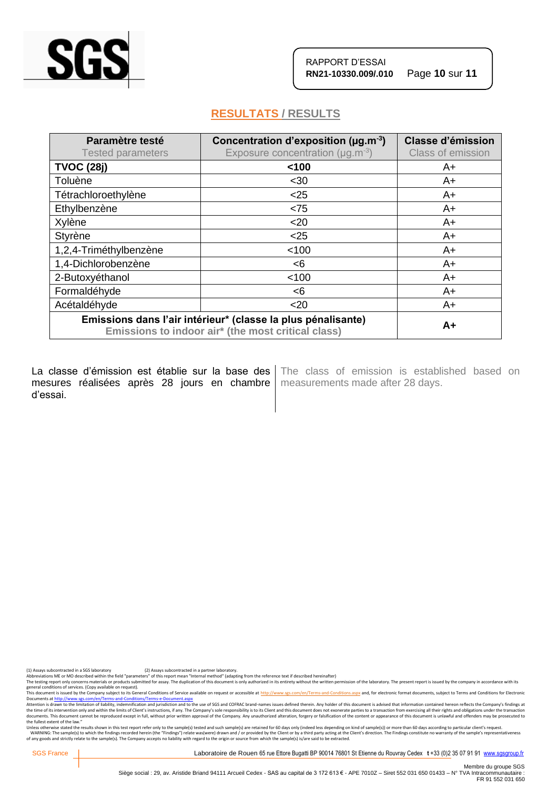

## **RESULTATS / RESULTS**

| Paramètre testé<br><b>Tested parameters</b>                                                                        | Concentration d'exposition ( $\mu$ g.m <sup>-3</sup> )<br>Exposure concentration ( $\mu$ g.m <sup>-3</sup> ) | <b>Classe d'émission</b><br>Class of emission |
|--------------------------------------------------------------------------------------------------------------------|--------------------------------------------------------------------------------------------------------------|-----------------------------------------------|
| <b>TVOC (28j)</b>                                                                                                  | 100                                                                                                          | A+                                            |
| Toluène                                                                                                            | $30$                                                                                                         | A+                                            |
| Tétrachloroethylène                                                                                                | $<$ 25                                                                                                       | $A+$                                          |
| Ethylbenzène                                                                                                       | < 75                                                                                                         | A+                                            |
| Xylène                                                                                                             | $20$                                                                                                         | A+                                            |
| Styrène                                                                                                            | $<$ 25                                                                                                       | A+                                            |
| 1,2,4-Triméthylbenzène                                                                                             | < 100                                                                                                        | $A+$                                          |
| 1,4-Dichlorobenzène                                                                                                | < 6                                                                                                          | $A+$                                          |
| 2-Butoxyéthanol                                                                                                    | < 100                                                                                                        | A+                                            |
| Formaldéhyde                                                                                                       | < 6                                                                                                          | A+                                            |
| Acétaldéhyde                                                                                                       | $20$                                                                                                         | A+                                            |
| Emissions dans l'air intérieur* (classe la plus pénalisante)<br>Emissions to indoor air* (the most critical class) |                                                                                                              | $A+$                                          |

La classe d'émission est établie sur la base des mesures réalisées après 28 jours en chambre | measurements made after 28 days. d'essai.

The class of emission is established based on

(1) Assays subcontracted in a SGS laboratory (2) Assays subcontracted in a partner laboratory.<br>Abbreviations ME or MO described within the field "parameters" of this report mean "Internal method" (adapting from the referen

The testing report only concerns materials or products submitted for assay. The duplication of this document is only authorized in its entirety without the written permission of the laboratory. The present report is issued

general conditions of services. (Copy available on request).<br>This documents a fister of the Company subject to the Company subject to the Gompany subject to the School of<br>Documents at <u>http://www.ses.com/en/Terms-and-Condi</u> the fullest extent of the law."

Unless otherwise stated the results shown in this test report refer only to the sample(s) tested and such sample(s) are retained for 60 days only (indeed less depending on kind of sample(s)) or more than 60 days according